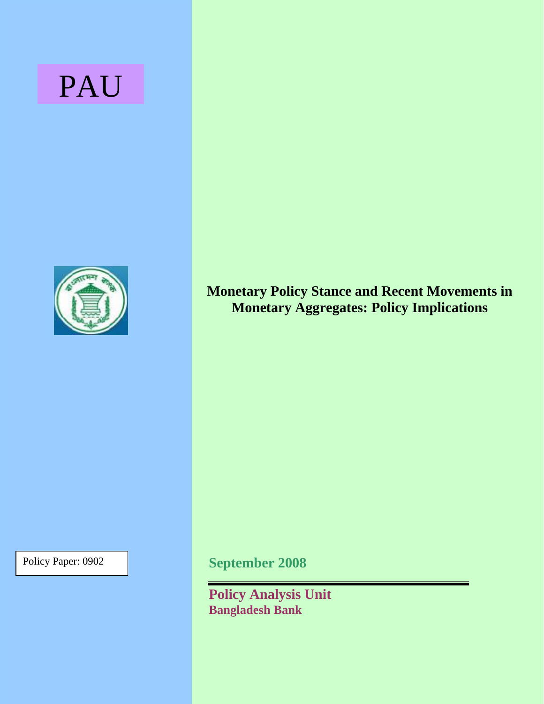# PAU



**Monetary Policy Stance and Recent Movements in Monetary Aggregates: Policy Implications** 

Policy Paper: 0902

**September 2008** 

**Policy Analysis Unit Bangladesh Bank**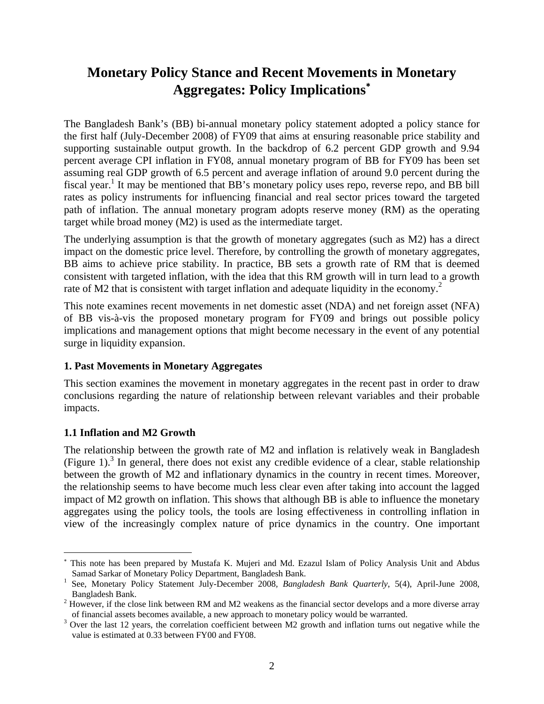# **Monetary Policy Stance and Recent Movements in Monetary Aggregates: Policy Implications**[∗](#page-1-0)

The Bangladesh Bank's (BB) bi-annual monetary policy statement adopted a policy stance for the first half (July-December 2008) of FY09 that aims at ensuring reasonable price stability and supporting sustainable output growth. In the backdrop of 6.2 percent GDP growth and 9.94 percent average CPI inflation in FY08, annual monetary program of BB for FY09 has been set assuming real GDP growth of 6.5 percent and average inflation of around 9.0 percent during the fiscal year.<sup>1</sup> It may be mentioned that BB's monetary policy uses repo, reverse repo, and BB bill rates as policy instruments for influencing financial and real sector prices toward the targeted path of inflation. The annual monetary program adopts reserve money (RM) as the operating target while broad money (M2) is used as the intermediate target.

The underlying assumption is that the growth of monetary aggregates (such as M2) has a direct impact on the domestic price level. Therefore, by controlling the growth of monetary aggregates, BB aims to achieve price stability. In practice, BB sets a growth rate of RM that is deemed consistent with targeted inflation, with the idea that this RM growth will in turn lead to a growth rateof M2 that is consistent with target inflation and adequate liquidity in the economy.<sup>2</sup>

This note examines recent movements in net domestic asset (NDA) and net foreign asset (NFA) of BB vis-à-vis the proposed monetary program for FY09 and brings out possible policy implications and management options that might become necessary in the event of any potential surge in liquidity expansion.

# **1. Past Movements in Monetary Aggregates**

This section examines the movement in monetary aggregates in the recent past in order to draw conclusions regarding the nature of relationship between relevant variables and their probable impacts.

# **1.1 Inflation and M2 Growth**

 $\overline{a}$ 

The relationship between the growth rate of M2 and inflation is relatively weak in Bangladesh (Figure 1).<sup>[3](#page-1-3)</sup> In general, there does not exist any credible evidence of a clear, stable relationship between the growth of M2 and inflationary dynamics in the country in recent times. Moreover, the relationship seems to have become much less clear even after taking into account the lagged impact of M2 growth on inflation. This shows that although BB is able to influence the monetary aggregates using the policy tools, the tools are losing effectiveness in controlling inflation in view of the increasingly complex nature of price dynamics in the country. One important

<span id="page-1-0"></span><sup>∗</sup> This note has been prepared by Mustafa K. Mujeri and Md. Ezazul Islam of Policy Analysis Unit and Abdus Samad Sarkar of Monetary Policy Department, Bangladesh Bank. 1

<span id="page-1-1"></span>See, Monetary Policy Statement July-December 2008*, Bangladesh Bank Quarterly*, 5(4), April-June 2008, Bangladesh Bank. 2

<span id="page-1-2"></span><sup>&</sup>lt;sup>2</sup> However, if the close link between RM and M2 weakens as the financial sector develops and a more diverse array of financial assets becomes available, a new approach to monetary policy would be warranted. 3

<span id="page-1-3"></span><sup>&</sup>lt;sup>3</sup> Over the last 12 years, the correlation coefficient between M2 growth and inflation turns out negative while the value is estimated at 0.33 between FY00 and FY08.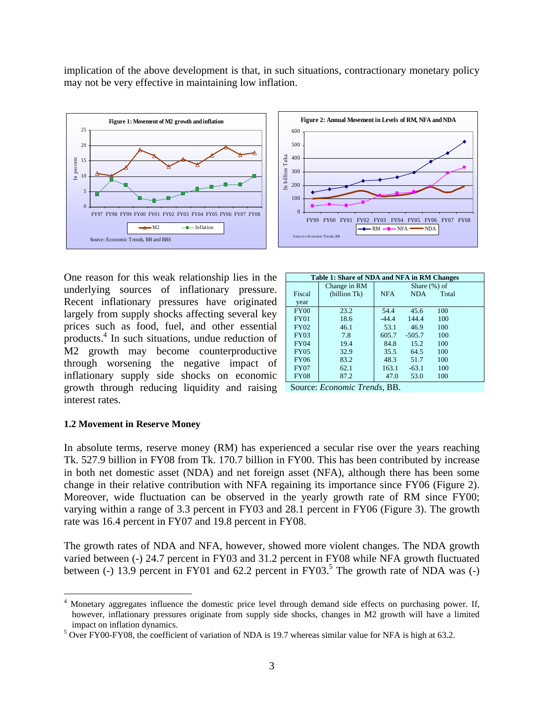implication of the above development is that, in such situations, contractionary monetary policy may not be very effective in maintaining low inflation.



One reason for this weak relationship lies in the underlying sources of inflationary pressure. Recent inflationary pressures have originated largely from supply shocks affecting several key prices such as food, fuel, and other essential products.4 In such situations, undue reduction of M2 gro[w](#page-2-0)th may become counterproductive through worsening the negative impact of inflationary supply side shocks on economic growth through reducing liquidity and raising Source: *Economic Trends*, BB. interest rates.

|                 | Figure 2: Annual Movement in Levels of RM, NFA and NDA                                                                            |  |  |  |  |  |  |  |  |  |
|-----------------|-----------------------------------------------------------------------------------------------------------------------------------|--|--|--|--|--|--|--|--|--|
|                 | 600                                                                                                                               |  |  |  |  |  |  |  |  |  |
| In billion Taka | 500                                                                                                                               |  |  |  |  |  |  |  |  |  |
|                 | 400                                                                                                                               |  |  |  |  |  |  |  |  |  |
|                 | 300                                                                                                                               |  |  |  |  |  |  |  |  |  |
|                 | 200                                                                                                                               |  |  |  |  |  |  |  |  |  |
|                 | 100                                                                                                                               |  |  |  |  |  |  |  |  |  |
|                 | $\overline{0}$                                                                                                                    |  |  |  |  |  |  |  |  |  |
|                 | <b>FY02</b><br><b>FY07</b><br><b>FY08</b><br><b>FY99</b><br><b>FY01</b><br><b>FY03</b><br><b>FY04</b><br>FY05 FY06<br><b>FY00</b> |  |  |  |  |  |  |  |  |  |
|                 | $-RM \rightarrow NFA \rightarrow NDA$<br>Sources: Economic Trends, BB                                                             |  |  |  |  |  |  |  |  |  |

| Table 1: Share of NDA and NFA in RM Changes |              |                 |            |       |  |  |  |  |  |
|---------------------------------------------|--------------|-----------------|------------|-------|--|--|--|--|--|
|                                             | Change in RM | Share $(\%)$ of |            |       |  |  |  |  |  |
| Fiscal                                      | (billion Tk) | <b>NFA</b>      | <b>NDA</b> | Total |  |  |  |  |  |
| year                                        |              |                 |            |       |  |  |  |  |  |
| <b>FY00</b>                                 | 23.2         | 54.4            | 45.6       | 100   |  |  |  |  |  |
| <b>FY01</b>                                 | 18.6         | $-44.4$         | 144.4      | 100   |  |  |  |  |  |
| <b>FY02</b>                                 | 46.1         | 53.1            | 46.9       | 100   |  |  |  |  |  |
| <b>FY03</b>                                 | 7.8          | 605.7           | $-505.7$   | 100   |  |  |  |  |  |
| <b>FY04</b>                                 | 19.4         | 84.8            | 15.2       | 100   |  |  |  |  |  |
| <b>FY05</b>                                 | 32.9         | 35.5            | 64.5       | 100   |  |  |  |  |  |
| <b>FY06</b>                                 | 83.2         | 48.3            | 51.7       | 100   |  |  |  |  |  |
| <b>FY07</b>                                 | 62.1         | 163.1           | $-63.1$    | 100   |  |  |  |  |  |
| <b>FY08</b>                                 | 87.2         | 47.0            | 53.0       | 100   |  |  |  |  |  |



#### **1.2 Movement in Reserve Money**

<u>.</u>

In absolute terms, reserve money (RM) has experienced a secular rise over the years reaching Tk. 527.9 billion in FY08 from Tk. 170.7 billion in FY00. This has been contributed by increase in both net domestic asset (NDA) and net foreign asset (NFA), although there has been some change in their relative contribution with NFA regaining its importance since FY06 (Figure 2). Moreover, wide fluctuation can be observed in the yearly growth rate of RM since FY00; varying within a range of 3.3 percent in FY03 and 28.1 percent in FY06 (Figure 3). The growth rate was 16.4 percent in FY07 and 19.8 percent in FY08.

The growth rates of NDA and NFA, however, showed more violent changes. The NDA growth varied between (-) 24.7 percent in FY03 and 31.2 percent in FY08 while NFA growth fluctuated between (-) 13.9 percent in FY01 and 62.2 percent in FY03.<sup>[5](#page-2-1)</sup> The growth rate of NDA was (-)

<span id="page-2-0"></span><sup>&</sup>lt;sup>4</sup> Monetary aggregates influence the domestic price level through demand side effects on purchasing power. If, however, inflationary pressures originate from supply side shocks, changes in M2 growth will have a limited impact on inflation dynamics.

<span id="page-2-1"></span><sup>&</sup>lt;sup>5</sup> Over FY00-FY08, the coefficient of variation of NDA is 19.7 whereas similar value for NFA is high at 63.2.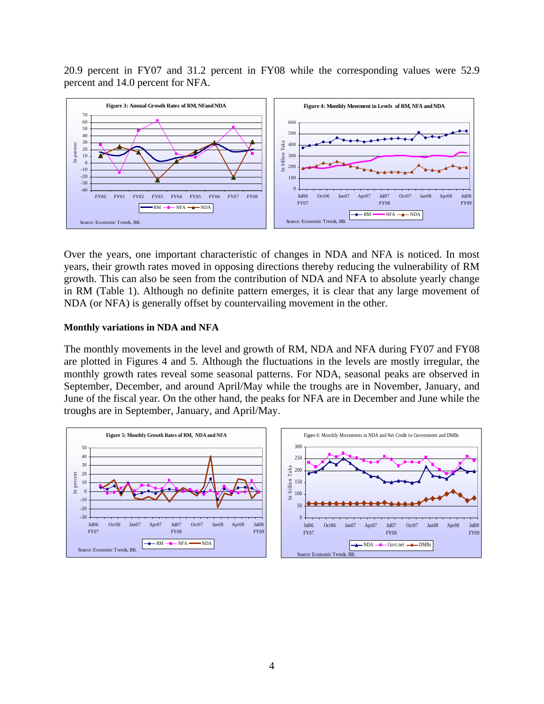20.9 percent in FY07 and 31.2 percent in FY08 while the corresponding values were 52.9 percent and 14.0 percent for NFA.



Over the years, one important characteristic of changes in NDA and NFA is noticed. In most years, their growth rates moved in opposing directions thereby reducing the vulnerability of RM growth. This can also be seen from the contribution of NDA and NFA to absolute yearly change in RM (Table 1). Although no definite pattern emerges, it is clear that any large movement of NDA (or NFA) is generally offset by countervailing movement in the other.

#### **Monthly variations in NDA and NFA**

The monthly movements in the level and growth of RM, NDA and NFA during FY07 and FY08 are plotted in Figures 4 and 5. Although the fluctuations in the levels are mostly irregular, the monthly growth rates reveal some seasonal patterns. For NDA, seasonal peaks are observed in September, December, and around April/May while the troughs are in November, January, and June of the fiscal year. On the other hand, the peaks for NFA are in December and June while the troughs are in September, January, and April/May.

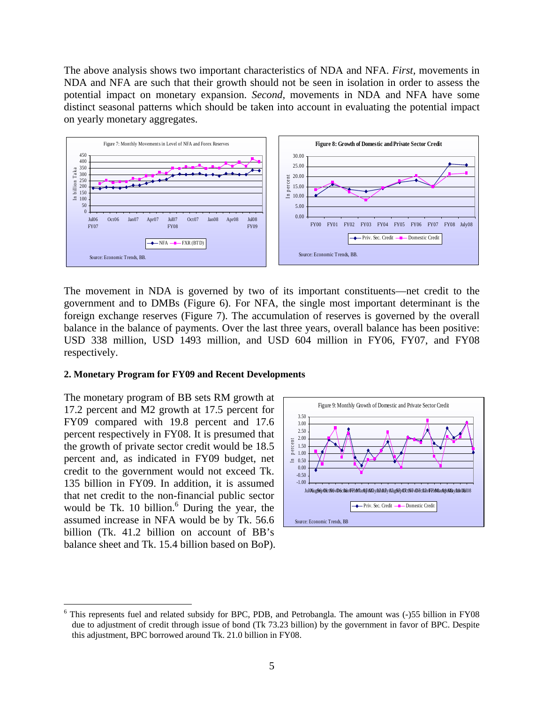The above analysis shows two important characteristics of NDA and NFA. *First,* movements in NDA and NFA are such that their growth should not be seen in isolation in order to assess the potential impact on monetary expansion. *Second,* movements in NDA and NFA have some distinct seasonal patterns which should be taken into account in evaluating the potential impact on yearly monetary aggregates.



The movement in NDA is governed by two of its important constituents—net credit to the government and to DMBs (Figure 6). For NFA, the single most important determinant is the foreign exchange reserves (Figure 7). The accumulation of reserves is governed by the overall balance in the balance of payments. Over the last three years, overall balance has been positive: USD 338 million, USD 1493 million, and USD 604 million in FY06, FY07, and FY08 respectively.

#### **2. Monetary Program for FY09 and Recent Developments**

The monetary program of BB sets RM growth at 17.2 percent and M2 growth at 17.5 percent for FY09 compared with 19.8 percent and 17.6 percent respectively in FY08. It is presumed that the growth of private sector credit would be 18.5 percent and, as indicated in FY09 budget, net credit to the government would not exceed Tk. 135 billion in FY09. In addition, it is assumed that net credit to the non-financial public sector would be Tk. 10 billion. $6$  During the year, the assumed increase in NFA would be by Tk. 56.6 billion (Tk. 41.2 billion on account of BB's balance sheet and Tk. 15.4 billion based on BoP).

1



<span id="page-4-0"></span><sup>&</sup>lt;sup>6</sup> This represents fuel and related subsidy for BPC, PDB, and Petrobangla. The amount was (-)55 billion in FY08 due to adjustment of credit through issue of bond (Tk 73.23 billion) by the government in favor of BPC. Despite this adjustment, BPC borrowed around Tk. 21.0 billion in FY08.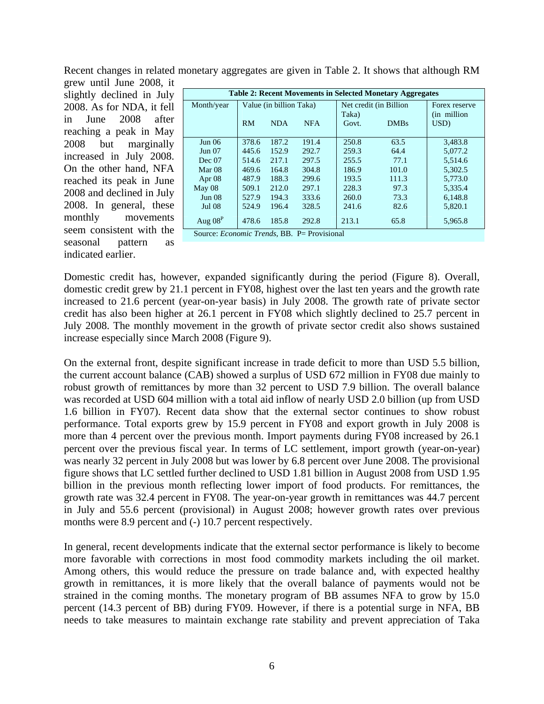Recent changes in related monetary aggregates are given in Table 2. It shows that although RM grew until June 2008, it

slightly declined in July 2008. As for NDA, it fell in June 2008 after reaching a peak in May 2008 but marginally increased in July 2008. On the other hand, NFA reached its peak in June 2008 and declined in July 2008. In general, these monthly movements seem consistent with the seasonal pattern as indicated earlier.

| <b>Table 2: Recent Movements in Selected Monetary Aggregates</b>                                                                                        |                         |            |            |                                 |             |                               |  |  |  |
|---------------------------------------------------------------------------------------------------------------------------------------------------------|-------------------------|------------|------------|---------------------------------|-------------|-------------------------------|--|--|--|
| Month/year                                                                                                                                              | Value (in billion Taka) |            |            | Net credit (in Billion<br>Taka) |             | Forex reserve<br>(in million) |  |  |  |
|                                                                                                                                                         | RM                      | <b>NDA</b> | <b>NFA</b> | Govt.                           | <b>DMBs</b> | USD)                          |  |  |  |
| Jun 06                                                                                                                                                  | 378.6                   | 187.2      | 191.4      | 250.8                           | 63.5        | 3,483.8                       |  |  |  |
| Jun 07                                                                                                                                                  | 445.6                   | 152.9      | 292.7      | 259.3                           | 64.4        | 5.077.2                       |  |  |  |
| Dec 07                                                                                                                                                  | 514.6                   | 217.1      | 297.5      | 255.5                           | 77.1        | 5,514.6                       |  |  |  |
| Mar 08                                                                                                                                                  | 469.6                   | 164.8      | 304.8      | 186.9                           | 101.0       | 5,302.5                       |  |  |  |
| Apr $08$                                                                                                                                                | 487.9                   | 188.3      | 299.6      | 193.5                           | 111.3       | 5.773.0                       |  |  |  |
| May 08                                                                                                                                                  | 509.1                   | 212.0      | 297.1      | 228.3                           | 97.3        | 5,335.4                       |  |  |  |
| Jun <sub>08</sub>                                                                                                                                       | 527.9                   | 194.3      | 333.6      | 260.0                           | 73.3        | 6,148.8                       |  |  |  |
| <b>Jul 08</b>                                                                                                                                           | 524.9                   | 196.4      | 328.5      | 241.6                           | 82.6        | 5,820.1                       |  |  |  |
| Aug $08^P$<br>$S_{\text{out}}$ $E_{\text{non}}$ $T_{\text{non}}$ $I_{\text{c}}$ $\text{DD}$ $\text{D}$ $\text{D}$ $\text{D}$ $\text{D}$ $\text{Cov}(s)$ | 478.6                   | 185.8      | 292.8      | 213.1                           | 65.8        | 5,965.8                       |  |  |  |

Source: *Economic Trends*, BB. P= Provisional

Domestic credit has, however, expanded significantly during the period (Figure 8). Overall, domestic credit grew by 21.1 percent in FY08, highest over the last ten years and the growth rate increased to 21.6 percent (year-on-year basis) in July 2008. The growth rate of private sector credit has also been higher at 26.1 percent in FY08 which slightly declined to 25.7 percent in July 2008. The monthly movement in the growth of private sector credit also shows sustained increase especially since March 2008 (Figure 9).

On the external front, despite significant increase in trade deficit to more than USD 5.5 billion, the current account balance (CAB) showed a surplus of USD 672 million in FY08 due mainly to robust growth of remittances by more than 32 percent to USD 7.9 billion. The overall balance was recorded at USD 604 million with a total aid inflow of nearly USD 2.0 billion (up from USD 1.6 billion in FY07). Recent data show that the external sector continues to show robust performance. Total exports grew by 15.9 percent in FY08 and export growth in July 2008 is more than 4 percent over the previous month. Import payments during FY08 increased by 26.1 percent over the previous fiscal year. In terms of LC settlement, import growth (year-on-year) was nearly 32 percent in July 2008 but was lower by 6.8 percent over June 2008. The provisional figure shows that LC settled further declined to USD 1.81 billion in August 2008 from USD 1.95 billion in the previous month reflecting lower import of food products. For remittances, the growth rate was 32.4 percent in FY08. The year-on-year growth in remittances was 44.7 percent in July and 55.6 percent (provisional) in August 2008; however growth rates over previous months were 8.9 percent and  $(-)$  10.7 percent respectively.

In general, recent developments indicate that the external sector performance is likely to become more favorable with corrections in most food commodity markets including the oil market. Among others, this would reduce the pressure on trade balance and, with expected healthy growth in remittances, it is more likely that the overall balance of payments would not be strained in the coming months. The monetary program of BB assumes NFA to grow by 15.0 percent (14.3 percent of BB) during FY09. However, if there is a potential surge in NFA, BB needs to take measures to maintain exchange rate stability and prevent appreciation of Taka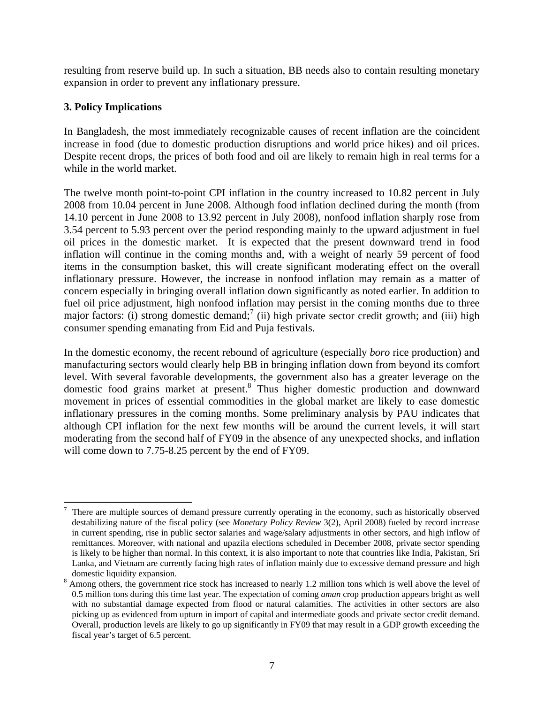resulting from reserve build up. In such a situation, BB needs also to contain resulting monetary expansion in order to prevent any inflationary pressure.

# **3. Policy Implications**

In Bangladesh, the most immediately recognizable causes of recent inflation are the coincident increase in food (due to domestic production disruptions and world price hikes) and oil prices. Despite recent drops, the prices of both food and oil are likely to remain high in real terms for a while in the world market.

The twelve month point-to-point CPI inflation in the country increased to 10.82 percent in July 2008 from 10.04 percent in June 2008. Although food inflation declined during the month (from 14.10 percent in June 2008 to 13.92 percent in July 2008), nonfood inflation sharply rose from 3.54 percent to 5.93 percent over the period responding mainly to the upward adjustment in fuel oil prices in the domestic market. It is expected that the present downward trend in food inflation will continue in the coming months and, with a weight of nearly 59 percent of food items in the consumption basket, this will create significant moderating effect on the overall inflationary pressure. However, the increase in nonfood inflation may remain as a matter of concern especially in bringing overall inflation down significantly as noted earlier. In addition to fuel oil price adjustment, high nonfood inflation may persist in the coming months due to three major factors: (i) strong domestic demand;<sup>[7](#page-6-0)</sup> (ii) high private sector credit growth; and (iii) high consumer spending emanating from Eid and Puja festivals.

In the domestic economy, the recent rebound of agriculture (especially *boro* rice production) and manufacturing sectors would clearly help BB in bringing inflation down from beyond its comfort level. With several favorable developments, the government also has a greater leverage on the domestic food grains market at present.<sup>[8](#page-6-1)</sup> Thus higher domestic production and downward movement in prices of essential commodities in the global market are likely to ease domestic inflationary pressures in the coming months. Some preliminary analysis by PAU indicates that although CPI inflation for the next few months will be around the current levels, it will start moderating from the second half of FY09 in the absence of any unexpected shocks, and inflation will come down to 7.75-8.25 percent by the end of FY09.

<span id="page-6-0"></span><sup>1</sup> 7 There are multiple sources of demand pressure currently operating in the economy, such as historically observed destabilizing nature of the fiscal policy (see *Monetary Policy Review* 3(2), April 2008) fueled by record increase in current spending, rise in public sector salaries and wage/salary adjustments in other sectors, and high inflow of remittances. Moreover, with national and upazila elections scheduled in December 2008, private sector spending is likely to be higher than normal. In this context, it is also important to note that countries like India, Pakistan, Sri Lanka, and Vietnam are currently facing high rates of inflation mainly due to excessive demand pressure and high domestic liquidity expansion.

<span id="page-6-1"></span><sup>&</sup>lt;sup>8</sup> Among others, the government rice stock has increased to nearly 1.2 million tons which is well above the level of 0.5 million tons during this time last year. The expectation of coming *aman* crop production appears bright as well with no substantial damage expected from flood or natural calamities. The activities in other sectors are also picking up as evidenced from upturn in import of capital and intermediate goods and private sector credit demand. Overall, production levels are likely to go up significantly in FY09 that may result in a GDP growth exceeding the fiscal year's target of 6.5 percent.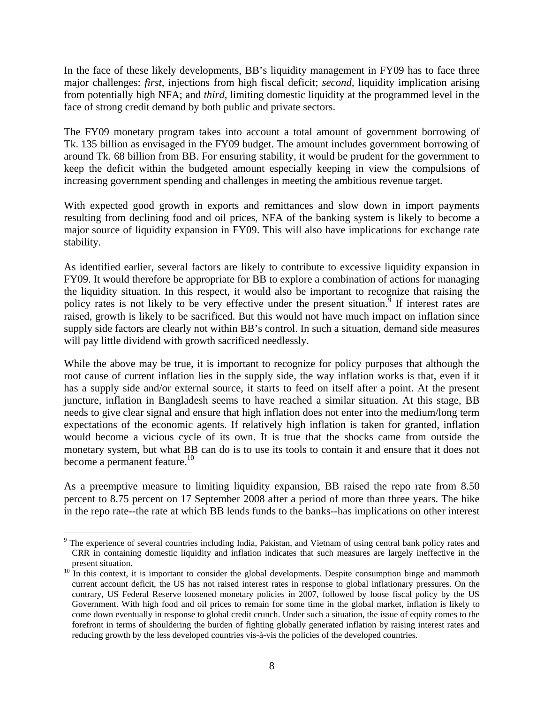In the face of these likely developments, BB's liquidity management in FY09 has to face three major challenges: *first,* injections from high fiscal deficit; *second,* liquidity implication arising from potentially high NFA; and *third,* limiting domestic liquidity at the programmed level in the face of strong credit demand by both public and private sectors.

The FY09 monetary program takes into account a total amount of government borrowing of Tk. 135 billion as envisaged in the FY09 budget. The amount includes government borrowing of around Tk. 68 billion from BB. For ensuring stability, it would be prudent for the government to keep the deficit within the budgeted amount especially keeping in view the compulsions of increasing government spending and challenges in meeting the ambitious revenue target.

With expected good growth in exports and remittances and slow down in import payments resulting from declining food and oil prices, NFA of the banking system is likely to become a major source of liquidity expansion in FY09. This will also have implications for exchange rate stability.

As identified earlier, several factors are likely to contribute to excessive liquidity expansion in FY09. It would therefore be appropriate for BB to explore a combination of actions for managing the liquidity situation. In this respect, it would also be important to recognize that raising the policy rates is not likely to be very effective under the present situation. $\frac{3}{9}$  $\frac{3}{9}$  $\frac{3}{9}$  If interest rates are raised, growth is likely to be sacrificed. But this would not have much impact on inflation since supply side factors are clearly not within BB's control. In such a situation, demand side measures will pay little dividend with growth sacrificed needlessly.

While the above may be true, it is important to recognize for policy purposes that although the root cause of current inflation lies in the supply side, the way inflation works is that, even if it has a supply side and/or external source, it starts to feed on itself after a point. At the present juncture, inflation in Bangladesh seems to have reached a similar situation. At this stage, BB needs to give clear signal and ensure that high inflation does not enter into the medium/long term expectations of the economic agents. If relatively high inflation is taken for granted, inflation would become a vicious cycle of its own. It is true that the shocks came from outside the monetary system, but what BB can do is to use its tools to contain it and ensure that it does not become a permanent feature.<sup>10</sup>

As a preemptive measure to limiting liquidity expansion, BB raised the repo rate from 8.50 percent to 8.75 percent on 17 September 2008 after a period of more than three years. The hike in the repo rate--the rate at which BB lends funds to the banks--has implications on other interest

 $\overline{a}$ 

<span id="page-7-0"></span><sup>&</sup>lt;sup>9</sup> The experience of several countries including India, Pakistan, and Vietnam of using central bank policy rates and CRR in containing domestic liquidity and inflation indicates that such measures are largely ineffective in the

<span id="page-7-1"></span><sup>&</sup>lt;sup>10</sup> In this context, it is important to consider the global developments. Despite consumption binge and mammoth current account deficit, the US has not raised interest rates in response to global inflationary pressures. On the contrary, US Federal Reserve loosened monetary policies in 2007, followed by loose fiscal policy by the US Government. With high food and oil prices to remain for some time in the global market, inflation is likely to come down eventually in response to global credit crunch. Under such a situation, the issue of equity comes to the forefront in terms of shouldering the burden of fighting globally generated inflation by raising interest rates and reducing growth by the less developed countries vis-à-vis the policies of the developed countries.